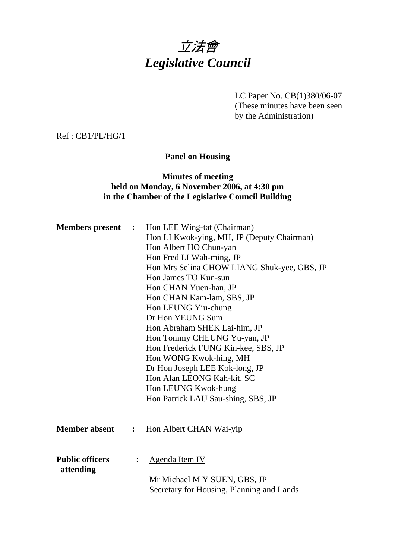# 立法會 *Legislative Council*

LC Paper No. CB(1)380/06-07 (These minutes have been seen by the Administration)

Ref : CB1/PL/HG/1

#### **Panel on Housing**

#### **Minutes of meeting held on Monday, 6 November 2006, at 4:30 pm in the Chamber of the Legislative Council Building**

| <b>Members present :</b>            | Hon LEE Wing-tat (Chairman)<br>Hon LI Kwok-ying, MH, JP (Deputy Chairman)<br>Hon Albert HO Chun-yan<br>Hon Fred LI Wah-ming, JP<br>Hon Mrs Selina CHOW LIANG Shuk-yee, GBS, JP<br>Hon James TO Kun-sun<br>Hon CHAN Yuen-han, JP<br>Hon CHAN Kam-lam, SBS, JP<br>Hon LEUNG Yiu-chung<br>Dr Hon YEUNG Sum<br>Hon Abraham SHEK Lai-him, JP<br>Hon Tommy CHEUNG Yu-yan, JP<br>Hon Frederick FUNG Kin-kee, SBS, JP<br>Hon WONG Kwok-hing, MH<br>Dr Hon Joseph LEE Kok-long, JP<br>Hon Alan LEONG Kah-kit, SC<br>Hon LEUNG Kwok-hung<br>Hon Patrick LAU Sau-shing, SBS, JP |
|-------------------------------------|----------------------------------------------------------------------------------------------------------------------------------------------------------------------------------------------------------------------------------------------------------------------------------------------------------------------------------------------------------------------------------------------------------------------------------------------------------------------------------------------------------------------------------------------------------------------|
| <b>Member absent :</b>              | Hon Albert CHAN Wai-yip                                                                                                                                                                                                                                                                                                                                                                                                                                                                                                                                              |
| <b>Public officers</b><br>attending | Agenda Item IV<br>Mr Michael M Y SUEN, GBS, JP<br>Secretary for Housing, Planning and Lands                                                                                                                                                                                                                                                                                                                                                                                                                                                                          |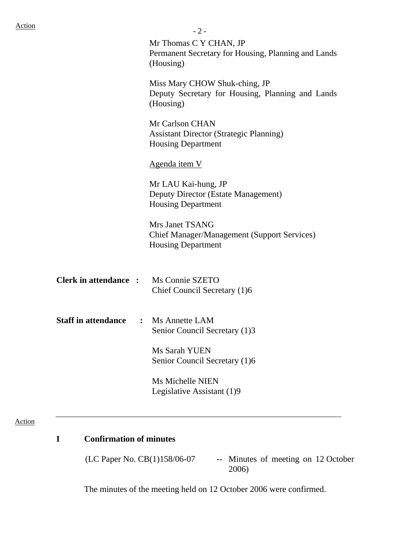|                              | $-2-$                                                                                              |  |  |  |
|------------------------------|----------------------------------------------------------------------------------------------------|--|--|--|
|                              | Mr Thomas C Y CHAN, JP<br>Permanent Secretary for Housing, Planning and Lands<br>(Housing)         |  |  |  |
|                              | Miss Mary CHOW Shuk-ching, JP<br>Deputy Secretary for Housing, Planning and Lands<br>(Housing)     |  |  |  |
|                              | Mr Carlson CHAN<br><b>Assistant Director (Strategic Planning)</b><br><b>Housing Department</b>     |  |  |  |
|                              | Agenda item V                                                                                      |  |  |  |
|                              | Mr LAU Kai-hung, JP<br>Deputy Director (Estate Management)<br><b>Housing Department</b>            |  |  |  |
|                              | Mrs Janet TSANG<br><b>Chief Manager/Management (Support Services)</b><br><b>Housing Department</b> |  |  |  |
| <b>Clerk in attendance :</b> | Ms Connie SZETO<br>Chief Council Secretary (1)6                                                    |  |  |  |
| <b>Staff in attendance</b>   | : Ms Annette LAM<br>Senior Council Secretary (1)3                                                  |  |  |  |
|                              | Ms Sarah YUEN<br>Senior Council Secretary (1)6                                                     |  |  |  |
|                              | Ms Michelle NIEN<br>Legislative Assistant (1)9                                                     |  |  |  |
|                              |                                                                                                    |  |  |  |

#### Action

# **I Confirmation of minutes**

(LC Paper No. CB(1)158/06-07 -- Minutes of meeting on 12 October 2006)

The minutes of the meeting held on 12 October 2006 were confirmed.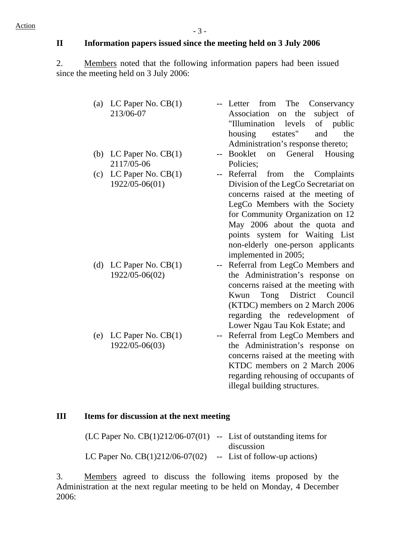# **II Information papers issued since the meeting held on 3 July 2006**

2. Members noted that the following information papers had been issued since the meeting held on 3 July 2006:

| (a) LC Paper No. $CB(1)$ |                                    | -- Letter from The Conservancy       |
|--------------------------|------------------------------------|--------------------------------------|
| 213/06-07                |                                    | subject of<br>Association on the     |
|                          |                                    | "Illumination levels of public       |
|                          |                                    | housing<br>estates"<br>the<br>and    |
|                          |                                    | Administration's response thereto;   |
| (b) LC Paper No. $CB(1)$ |                                    | Booklet<br>on General Housing        |
| 2117/05-06               |                                    | Policies;                            |
| (c) LC Paper No. $CB(1)$ |                                    | Referral from the Complaints         |
| 1922/05-06(01)           |                                    | Division of the LegCo Secretariat on |
|                          |                                    | concerns raised at the meeting of    |
|                          |                                    | LegCo Members with the Society       |
|                          |                                    | for Community Organization on 12     |
|                          |                                    | May 2006 about the quota and         |
|                          |                                    | points system for Waiting List       |
|                          |                                    | non-elderly one-person applicants    |
|                          |                                    | implemented in 2005;                 |
| (d) LC Paper No. $CB(1)$ | $\mathbb{H}^{\mathbb{H}^{\times}}$ | Referral from LegCo Members and      |
| 1922/05-06(02)           |                                    | the Administration's response on     |
|                          |                                    | concerns raised at the meeting with  |
|                          |                                    | Tong District Council<br>Kwun        |
|                          |                                    | (KTDC) members on 2 March 2006       |
|                          |                                    | regarding the redevelopment of       |

(e) LC Paper No. CB(1) 1922/05-06(03)

Lower Ngau Tau Kok Estate; and -- Referral from LegCo Members and the Administration's response on concerns raised at the meeting with KTDC members on 2 March 2006 regarding rehousing of occupants of illegal building structures.

#### **III Items for discussion at the next meeting**

| (LC Paper No. $CB(1)212/06-07(01)$ -- List of outstanding items for |                               |
|---------------------------------------------------------------------|-------------------------------|
|                                                                     | discussion                    |
| LC Paper No. $CB(1)212/06-07(02)$                                   | -- List of follow-up actions) |

3. Members agreed to discuss the following items proposed by the Administration at the next regular meeting to be held on Monday, 4 December 2006: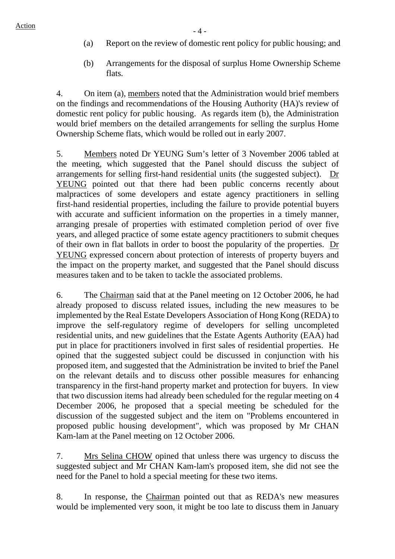- (a) Report on the review of domestic rent policy for public housing; and
- (b) Arrangements for the disposal of surplus Home Ownership Scheme flats.

4. On item (a), members noted that the Administration would brief members on the findings and recommendations of the Housing Authority (HA)'s review of domestic rent policy for public housing. As regards item (b), the Administration would brief members on the detailed arrangements for selling the surplus Home Ownership Scheme flats, which would be rolled out in early 2007.

5. Members noted Dr YEUNG Sum's letter of 3 November 2006 tabled at the meeting, which suggested that the Panel should discuss the subject of arrangements for selling first-hand residential units (the suggested subject). Dr YEUNG pointed out that there had been public concerns recently about malpractices of some developers and estate agency practitioners in selling first-hand residential properties, including the failure to provide potential buyers with accurate and sufficient information on the properties in a timely manner, arranging presale of properties with estimated completion period of over five years, and alleged practice of some estate agency practitioners to submit cheques of their own in flat ballots in order to boost the popularity of the properties. Dr YEUNG expressed concern about protection of interests of property buyers and the impact on the property market, and suggested that the Panel should discuss measures taken and to be taken to tackle the associated problems.

6. The Chairman said that at the Panel meeting on 12 October 2006, he had already proposed to discuss related issues, including the new measures to be implemented by the Real Estate Developers Association of Hong Kong (REDA) to improve the self-regulatory regime of developers for selling uncompleted residential units, and new guidelines that the Estate Agents Authority (EAA) had put in place for practitioners involved in first sales of residential properties. He opined that the suggested subject could be discussed in conjunction with his proposed item, and suggested that the Administration be invited to brief the Panel on the relevant details and to discuss other possible measures for enhancing transparency in the first-hand property market and protection for buyers. In view that two discussion items had already been scheduled for the regular meeting on 4 December 2006, he proposed that a special meeting be scheduled for the discussion of the suggested subject and the item on "Problems encountered in proposed public housing development", which was proposed by Mr CHAN Kam-lam at the Panel meeting on 12 October 2006.

7. Mrs Selina CHOW opined that unless there was urgency to discuss the suggested subject and Mr CHAN Kam-lam's proposed item, she did not see the need for the Panel to hold a special meeting for these two items.

8. In response, the Chairman pointed out that as REDA's new measures would be implemented very soon, it might be too late to discuss them in January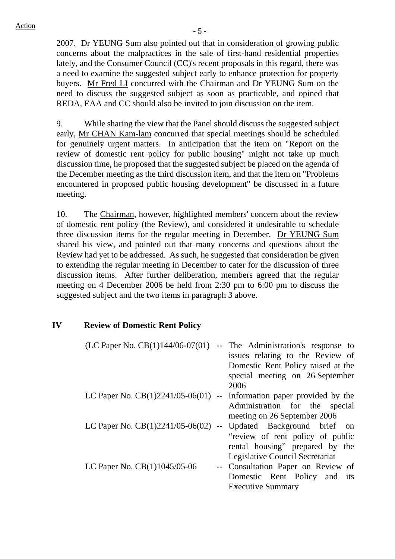2007. Dr YEUNG Sum also pointed out that in consideration of growing public concerns about the malpractices in the sale of first-hand residential properties lately, and the Consumer Council (CC)'s recent proposals in this regard, there was a need to examine the suggested subject early to enhance protection for property buyers. Mr Fred LI concurred with the Chairman and Dr YEUNG Sum on the need to discuss the suggested subject as soon as practicable, and opined that REDA, EAA and CC should also be invited to join discussion on the item.

9. While sharing the view that the Panel should discuss the suggested subject early, Mr CHAN Kam-lam concurred that special meetings should be scheduled for genuinely urgent matters. In anticipation that the item on "Report on the review of domestic rent policy for public housing" might not take up much discussion time, he proposed that the suggested subject be placed on the agenda of the December meeting as the third discussion item, and that the item on "Problems encountered in proposed public housing development" be discussed in a future meeting.

10. The Chairman, however, highlighted members' concern about the review of domestic rent policy (the Review), and considered it undesirable to schedule three discussion items for the regular meeting in December. Dr YEUNG Sum shared his view, and pointed out that many concerns and questions about the Review had yet to be addressed. As such, he suggested that consideration be given to extending the regular meeting in December to cater for the discussion of three discussion items. After further deliberation, members agreed that the regular meeting on 4 December 2006 be held from 2:30 pm to 6:00 pm to discuss the suggested subject and the two items in paragraph 3 above.

#### **IV Review of Domestic Rent Policy**

| (LC Paper No. $CB(1)144/06-07(01)$ )                                    | -- The Administration's response to |
|-------------------------------------------------------------------------|-------------------------------------|
|                                                                         | issues relating to the Review of    |
|                                                                         | Domestic Rent Policy raised at the  |
|                                                                         | special meeting on 26 September     |
|                                                                         | 2006                                |
| LC Paper No. $CB(1)2241/05-06(01)$ -- Information paper provided by the |                                     |
|                                                                         | Administration for the special      |
|                                                                         | meeting on 26 September 2006        |
| LC Paper No. $CB(1)2241/05-06(02)$                                      | -- Updated Background brief on      |
|                                                                         | "review of rent policy of public    |
|                                                                         | rental housing" prepared by the     |
|                                                                         | Legislative Council Secretariat     |
| LC Paper No. CB(1)1045/05-06                                            | -- Consultation Paper on Review of  |
|                                                                         | Domestic Rent Policy and its        |
|                                                                         | <b>Executive Summary</b>            |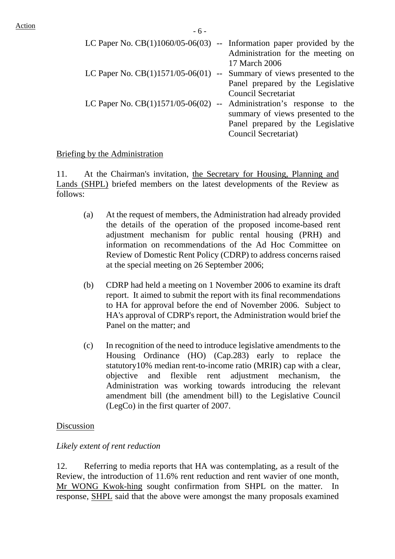| LC Paper No. $CB(1)1060/05-06(03)$ -- Information paper provided by the | Administration for the meeting on<br>17 March 2006                                                   |
|-------------------------------------------------------------------------|------------------------------------------------------------------------------------------------------|
| LC Paper No. $CB(1)1571/05-06(01)$ -- Summary of views presented to the | Panel prepared by the Legislative                                                                    |
| LC Paper No. $CB(1)1571/05-06(02)$ -- Administration's response to the  | <b>Council Secretariat</b><br>summary of views presented to the<br>Panel prepared by the Legislative |
|                                                                         | Council Secretariat)                                                                                 |

#### Briefing by the Administration

11. At the Chairman's invitation, the Secretary for Housing, Planning and Lands (SHPL) briefed members on the latest developments of the Review as follows:

- (a) At the request of members, the Administration had already provided the details of the operation of the proposed income-based rent adjustment mechanism for public rental housing (PRH) and information on recommendations of the Ad Hoc Committee on Review of Domestic Rent Policy (CDRP) to address concerns raised at the special meeting on 26 September 2006;
- (b) CDRP had held a meeting on 1 November 2006 to examine its draft report. It aimed to submit the report with its final recommendations to HA for approval before the end of November 2006. Subject to HA's approval of CDRP's report, the Administration would brief the Panel on the matter; and
- (c) In recognition of the need to introduce legislative amendments to the Housing Ordinance (HO) (Cap.283) early to replace the statutory10% median rent-to-income ratio (MRIR) cap with a clear, objective and flexible rent adjustment mechanism, the Administration was working towards introducing the relevant amendment bill (the amendment bill) to the Legislative Council (LegCo) in the first quarter of 2007.

#### Discussion

#### *Likely extent of rent reduction*

12. Referring to media reports that HA was contemplating, as a result of the Review, the introduction of 11.6% rent reduction and rent wavier of one month, Mr WONG Kwok-hing sought confirmation from SHPL on the matter. response, SHPL said that the above were amongst the many proposals examined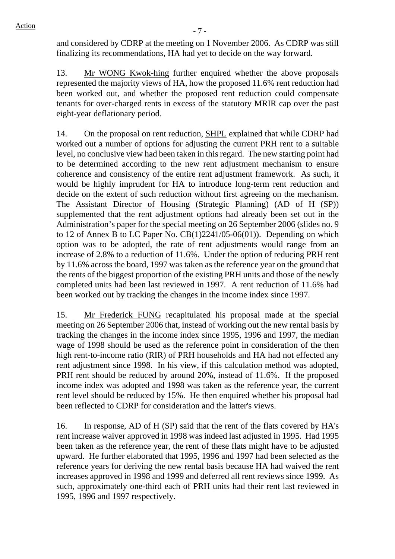and considered by CDRP at the meeting on 1 November 2006. As CDRP was still finalizing its recommendations, HA had yet to decide on the way forward.

13. Mr WONG Kwok-hing further enquired whether the above proposals represented the majority views of HA, how the proposed 11.6% rent reduction had been worked out, and whether the proposed rent reduction could compensate tenants for over-charged rents in excess of the statutory MRIR cap over the past eight-year deflationary period.

14. On the proposal on rent reduction, SHPL explained that while CDRP had worked out a number of options for adjusting the current PRH rent to a suitable level, no conclusive view had been taken in this regard. The new starting point had to be determined according to the new rent adjustment mechanism to ensure coherence and consistency of the entire rent adjustment framework. As such, it would be highly imprudent for HA to introduce long-term rent reduction and decide on the extent of such reduction without first agreeing on the mechanism. The Assistant Director of Housing (Strategic Planning) (AD of H (SP)) supplemented that the rent adjustment options had already been set out in the Administration's paper for the special meeting on 26 September 2006 (slides no. 9 to 12 of Annex B to LC Paper No. CB(1)2241/05-06(01)). Depending on which option was to be adopted, the rate of rent adjustments would range from an increase of 2.8% to a reduction of 11.6%. Under the option of reducing PRH rent by 11.6% across the board, 1997 was taken as the reference year on the ground that the rents of the biggest proportion of the existing PRH units and those of the newly completed units had been last reviewed in 1997. A rent reduction of 11.6% had been worked out by tracking the changes in the income index since 1997.

15. Mr Frederick FUNG recapitulated his proposal made at the special meeting on 26 September 2006 that, instead of working out the new rental basis by tracking the changes in the income index since 1995, 1996 and 1997, the median wage of 1998 should be used as the reference point in consideration of the then high rent-to-income ratio (RIR) of PRH households and HA had not effected any rent adjustment since 1998. In his view, if this calculation method was adopted, PRH rent should be reduced by around 20%, instead of 11.6%. If the proposed income index was adopted and 1998 was taken as the reference year, the current rent level should be reduced by 15%. He then enquired whether his proposal had been reflected to CDRP for consideration and the latter's views.

16. In response, AD of H (SP) said that the rent of the flats covered by HA's rent increase waiver approved in 1998 was indeed last adjusted in 1995. Had 1995 been taken as the reference year, the rent of these flats might have to be adjusted upward. He further elaborated that 1995, 1996 and 1997 had been selected as the reference years for deriving the new rental basis because HA had waived the rent increases approved in 1998 and 1999 and deferred all rent reviews since 1999. As such, approximately one-third each of PRH units had their rent last reviewed in 1995, 1996 and 1997 respectively.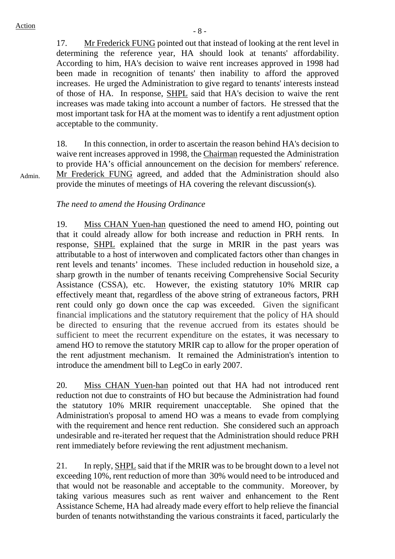Admin.

17. Mr Frederick FUNG pointed out that instead of looking at the rent level in determining the reference year, HA should look at tenants' affordability. According to him, HA's decision to waive rent increases approved in 1998 had been made in recognition of tenants' then inability to afford the approved increases. He urged the Administration to give regard to tenants' interests instead of those of HA. In response, SHPL said that HA's decision to waive the rent increases was made taking into account a number of factors. He stressed that the most important task for HA at the moment was to identify a rent adjustment option acceptable to the community.

18. In this connection, in order to ascertain the reason behind HA's decision to waive rent increases approved in 1998, the Chairman requested the Administration to provide HA's official announcement on the decision for members' reference. Mr Frederick FUNG agreed, and added that the Administration should also provide the minutes of meetings of HA covering the relevant discussion(s).

#### *The need to amend the Housing Ordinance*

19. Miss CHAN Yuen-han questioned the need to amend HO, pointing out that it could already allow for both increase and reduction in PRH rents*.* In response, SHPL explained that the surge in MRIR in the past years was attributable to a host of interwoven and complicated factors other than changes in rent levels and tenants' incomes. These included reduction in household size, a sharp growth in the number of tenants receiving Comprehensive Social Security Assistance (CSSA), etc. However, the existing statutory 10% MRIR cap effectively meant that, regardless of the above string of extraneous factors, PRH rent could only go down once the cap was exceeded. Given the significant financial implications and the statutory requirement that the policy of HA should be directed to ensuring that the revenue accrued from its estates should be sufficient to meet the recurrent expenditure on the estates, it was necessary to amend HO to remove the statutory MRIR cap to allow for the proper operation of the rent adjustment mechanism. It remained the Administration's intention to introduce the amendment bill to LegCo in early 2007.

20. Miss CHAN Yuen-han pointed out that HA had not introduced rent reduction not due to constraints of HO but because the Administration had found the statutory 10% MRIR requirement unacceptable. She opined that the Administration's proposal to amend HO was a means to evade from complying with the requirement and hence rent reduction. She considered such an approach undesirable and re-iterated her request that the Administration should reduce PRH rent immediately before reviewing the rent adjustment mechanism.

21. In reply, SHPL said that if the MRIR was to be brought down to a level not exceeding 10%, rent reduction of more than 30% would need to be introduced and that would not be reasonable and acceptable to the community. Moreover, by taking various measures such as rent waiver and enhancement to the Rent Assistance Scheme, HA had already made every effort to help relieve the financial burden of tenants notwithstanding the various constraints it faced, particularly the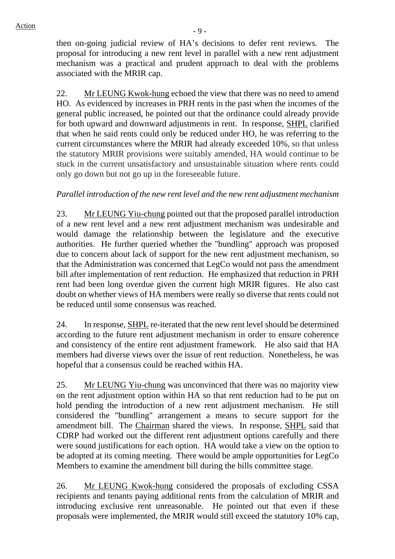then on-going judicial review of HA's decisions to defer rent reviews*.* The proposal for introducing a new rent level in parallel with a new rent adjustment mechanism was a practical and prudent approach to deal with the problems associated with the MRIR cap.

22. Mr LEUNG Kwok-hung echoed the view that there was no need to amend HO. As evidenced by increases in PRH rents in the past when the incomes of the general public increased, he pointed out that the ordinance could already provide for both upward and downward adjustments in rent. In response, SHPL clarified that when he said rents could only be reduced under HO, he was referring to the current circumstances where the MRIR had already exceeded 10%, so that unless the statutory MRIR provisions were suitably amended, HA would continue to be stuck in the current unsatisfactory and unsustainable situation where rents could only go down but not go up in the foreseeable future.

# *Parallel introduction of the new rent level and the new rent adjustment mechanism*

23. Mr LEUNG Yiu-chung pointed out that the proposed parallel introduction of a new rent level and a new rent adjustment mechanism was undesirable and would damage the relationship between the legislature and the executive authorities. He further queried whether the "bundling" approach was proposed due to concern about lack of support for the new rent adjustment mechanism, so that the Administration was concerned that LegCo would not pass the amendment bill after implementation of rent reduction. He emphasized that reduction in PRH rent had been long overdue given the current high MRIR figures. He also cast doubt on whether views of HA members were really so diverse that rents could not be reduced until some consensus was reached.

24. In response, SHPL re-iterated that the new rent level should be determined according to the future rent adjustment mechanism in order to ensure coherence and consistency of the entire rent adjustment framework. He also said that HA members had diverse views over the issue of rent reduction. Nonetheless, he was hopeful that a consensus could be reached within HA.

25. Mr LEUNG Yiu-chung was unconvinced that there was no majority view on the rent adjustment option within HA so that rent reduction had to be put on hold pending the introduction of a new rent adjustment mechanism. He still considered the "bundling" arrangement a means to secure support for the amendment bill. The Chairman shared the views. In response, SHPL said that CDRP had worked out the different rent adjustment options carefully and there were sound justifications for each option. HA would take a view on the option to be adopted at its coming meeting. There would be ample opportunities for LegCo Members to examine the amendment bill during the bills committee stage.

26. Mr LEUNG Kwok-hung considered the proposals of excluding CSSA recipients and tenants paying additional rents from the calculation of MRIR and introducing exclusive rent unreasonable. He pointed out that even if these proposals were implemented, the MRIR would still exceed the statutory 10% cap,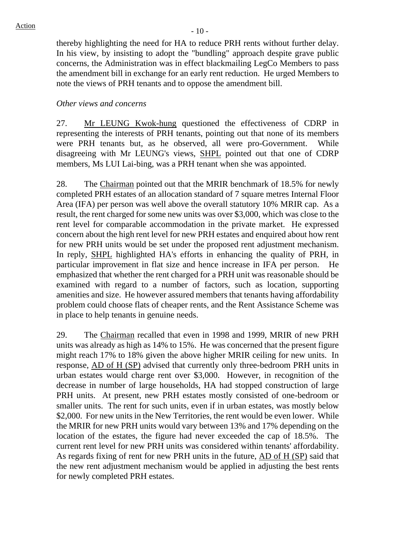thereby highlighting the need for HA to reduce PRH rents without further delay. In his view, by insisting to adopt the "bundling" approach despite grave public concerns, the Administration was in effect blackmailing LegCo Members to pass the amendment bill in exchange for an early rent reduction. He urged Members to note the views of PRH tenants and to oppose the amendment bill.

#### *Other views and concerns*

27. Mr LEUNG Kwok-hung questioned the effectiveness of CDRP in representing the interests of PRH tenants, pointing out that none of its members were PRH tenants but, as he observed, all were pro-Government. While disagreeing with Mr LEUNG's views, SHPL pointed out that one of CDRP members, Ms LUI Lai-bing, was a PRH tenant when she was appointed.

28. The Chairman pointed out that the MRIR benchmark of 18.5% for newly completed PRH estates of an allocation standard of 7 square metres Internal Floor Area (IFA) per person was well above the overall statutory 10% MRIR cap. As a result, the rent charged for some new units was over \$3,000, which was close to the rent level for comparable accommodation in the private market. He expressed concern about the high rent level for new PRH estates and enquired about how rent for new PRH units would be set under the proposed rent adjustment mechanism. In reply, SHPL highlighted HA's efforts in enhancing the quality of PRH, in particular improvement in flat size and hence increase in IFA per person. He emphasized that whether the rent charged for a PRH unit was reasonable should be examined with regard to a number of factors, such as location, supporting amenities and size. He however assured members that tenants having affordability problem could choose flats of cheaper rents, and the Rent Assistance Scheme was in place to help tenants in genuine needs.

29. The Chairman recalled that even in 1998 and 1999, MRIR of new PRH units was already as high as 14% to 15%. He was concerned that the present figure might reach 17% to 18% given the above higher MRIR ceiling for new units. In response, AD of H (SP) advised that currently only three-bedroom PRH units in urban estates would charge rent over \$3,000. However, in recognition of the decrease in number of large households, HA had stopped construction of large PRH units. At present, new PRH estates mostly consisted of one-bedroom or smaller units. The rent for such units, even if in urban estates, was mostly below \$2,000. For new units in the New Territories, the rent would be even lower. While the MRIR for new PRH units would vary between 13% and 17% depending on the location of the estates, the figure had never exceeded the cap of 18.5%. The current rent level for new PRH units was considered within tenants' affordability. As regards fixing of rent for new PRH units in the future, AD of H (SP) said that the new rent adjustment mechanism would be applied in adjusting the best rents for newly completed PRH estates.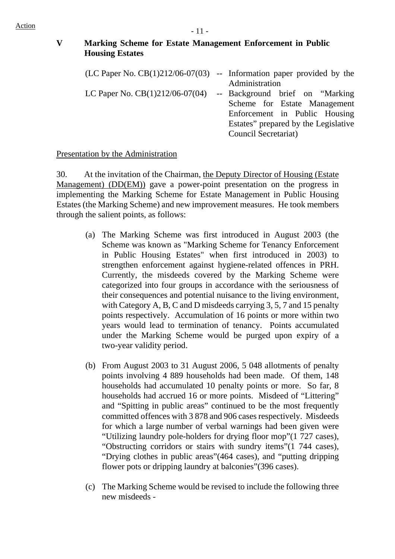# **V Marking Scheme for Estate Management Enforcement in Public Housing Estates**

| (LC Paper No. $CB(1)212/06-07(03)$ -- Information paper provided by the |                                      |
|-------------------------------------------------------------------------|--------------------------------------|
|                                                                         | Administration                       |
| LC Paper No. $CB(1)212/06-07(04)$                                       | -- Background brief on "Marking"-    |
|                                                                         | Scheme for Estate Management         |
|                                                                         | Enforcement in Public Housing        |
|                                                                         | Estates" prepared by the Legislative |
|                                                                         | Council Secretariat)                 |

## Presentation by the Administration

30. At the invitation of the Chairman, the Deputy Director of Housing (Estate Management) (DD(EM)) gave a power-point presentation on the progress in implementing the Marking Scheme for Estate Management in Public Housing Estates (the Marking Scheme) and new improvement measures. He took members through the salient points, as follows:

- (a) The Marking Scheme was first introduced in August 2003 (the Scheme was known as "Marking Scheme for Tenancy Enforcement in Public Housing Estates" when first introduced in 2003) to strengthen enforcement against hygiene-related offences in PRH. Currently, the misdeeds covered by the Marking Scheme were categorized into four groups in accordance with the seriousness of their consequences and potential nuisance to the living environment, with Category A, B, C and D misdeeds carrying 3, 5, 7 and 15 penalty points respectively. Accumulation of 16 points or more within two years would lead to termination of tenancy. Points accumulated under the Marking Scheme would be purged upon expiry of a two-year validity period.
- (b) From August 2003 to 31 August 2006, 5 048 allotments of penalty points involving 4 889 households had been made. Of them, 148 households had accumulated 10 penalty points or more. So far, 8 households had accrued 16 or more points. Misdeed of "Littering" and "Spitting in public areas" continued to be the most frequently committed offences with 3 878 and 906 cases respectively. Misdeeds for which a large number of verbal warnings had been given were "Utilizing laundry pole-holders for drying floor mop"(1 727 cases), "Obstructing corridors or stairs with sundry items"(1 744 cases), "Drying clothes in public areas"(464 cases), and "putting dripping flower pots or dripping laundry at balconies"(396 cases).
- (c) The Marking Scheme would be revised to include the following three new misdeeds -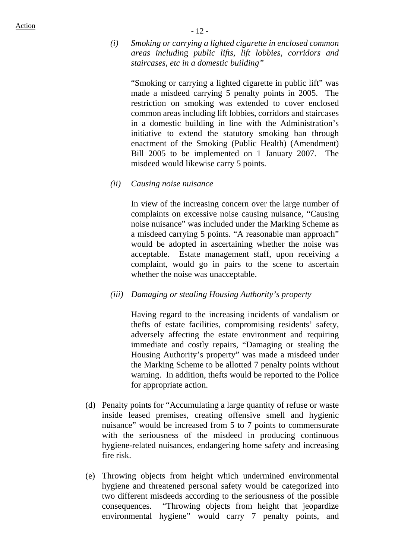*(i) Smoking or carrying a lighted cigarette in enclosed common areas includin*g *public lifts, lift lobbies, corridors and staircases, etc in a domestic building"* 

"Smoking or carrying a lighted cigarette in public lift" was made a misdeed carrying 5 penalty points in 2005. The restriction on smoking was extended to cover enclosed common areas including lift lobbies, corridors and staircases in a domestic building in line with the Administration's initiative to extend the statutory smoking ban through enactment of the Smoking (Public Health) (Amendment) Bill 2005 to be implemented on 1 January 2007. The misdeed would likewise carry 5 points.

*(ii) Causing noise nuisance* 

In view of the increasing concern over the large number of complaints on excessive noise causing nuisance, "Causing noise nuisance" was included under the Marking Scheme as a misdeed carrying 5 points. "A reasonable man approach" would be adopted in ascertaining whether the noise was acceptable. Estate management staff, upon receiving a complaint, would go in pairs to the scene to ascertain whether the noise was unacceptable.

*(iii) Damaging or stealing Housing Authority's property* 

Having regard to the increasing incidents of vandalism or thefts of estate facilities, compromising residents' safety, adversely affecting the estate environment and requiring immediate and costly repairs, "Damaging or stealing the Housing Authority's property" was made a misdeed under the Marking Scheme to be allotted 7 penalty points without warning. In addition, thefts would be reported to the Police for appropriate action.

- (d) Penalty points for "Accumulating a large quantity of refuse or waste inside leased premises, creating offensive smell and hygienic nuisance" would be increased from 5 to 7 points to commensurate with the seriousness of the misdeed in producing continuous hygiene-related nuisances, endangering home safety and increasing fire risk.
- (e) Throwing objects from height which undermined environmental hygiene and threatened personal safety would be categorized into two different misdeeds according to the seriousness of the possible consequences. "Throwing objects from height that jeopardize environmental hygiene" would carry 7 penalty points, and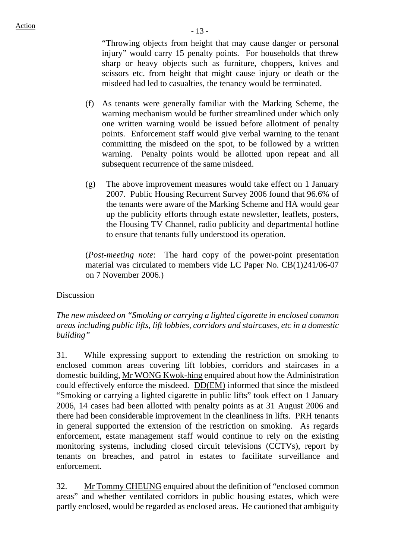"Throwing objects from height that may cause danger or personal injury" would carry 15 penalty points. For households that threw sharp or heavy objects such as furniture, choppers, knives and scissors etc. from height that might cause injury or death or the misdeed had led to casualties, the tenancy would be terminated.

- (f) As tenants were generally familiar with the Marking Scheme, the warning mechanism would be further streamlined under which only one written warning would be issued before allotment of penalty points. Enforcement staff would give verbal warning to the tenant committing the misdeed on the spot, to be followed by a written warning. Penalty points would be allotted upon repeat and all subsequent recurrence of the same misdeed.
- (g) The above improvement measures would take effect on 1 January 2007. Public Housing Recurrent Survey 2006 found that 96.6% of the tenants were aware of the Marking Scheme and HA would gear up the publicity efforts through estate newsletter, leaflets, posters, the Housing TV Channel, radio publicity and departmental hotline to ensure that tenants fully understood its operation.

(*Post-meeting note*: The hard copy of the power-point presentation material was circulated to members vide LC Paper No. CB(1)241/06-07 on 7 November 2006.)

#### Discussion

## *The new misdeed on "Smoking or carrying a lighted cigarette in enclosed common areas includin*g *public lifts, lift lobbies, corridors and staircases, etc in a domestic building"*

31. While expressing support to extending the restriction on smoking to enclosed common areas covering lift lobbies, corridors and staircases in a domestic building, Mr WONG Kwok-hing enquired about how the Administration could effectively enforce the misdeed. DD(EM) informed that since the misdeed "Smoking or carrying a lighted cigarette in public lifts" took effect on 1 January 2006, 14 cases had been allotted with penalty points as at 31 August 2006 and there had been considerable improvement in the cleanliness in lifts. PRH tenants in general supported the extension of the restriction on smoking. As regards enforcement, estate management staff would continue to rely on the existing monitoring systems, including closed circuit televisions (CCTVs), report by tenants on breaches, and patrol in estates to facilitate surveillance and enforcement.

32. Mr Tommy CHEUNG enquired about the definition of "enclosed common areas" and whether ventilated corridors in public housing estates, which were partly enclosed, would be regarded as enclosed areas. He cautioned that ambiguity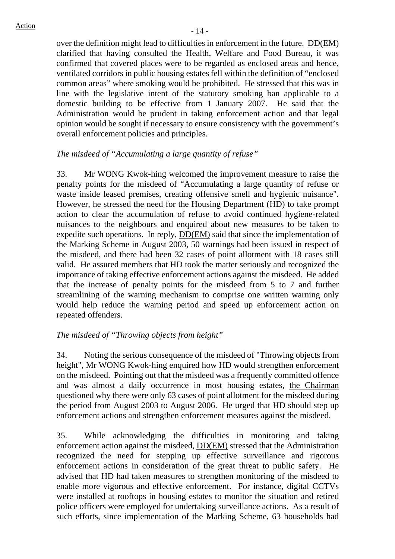over the definition might lead to difficulties in enforcement in the future. DD(EM) clarified that having consulted the Health, Welfare and Food Bureau, it was confirmed that covered places were to be regarded as enclosed areas and hence, ventilated corridors in public housing estates fell within the definition of "enclosed common areas" where smoking would be prohibited. He stressed that this was in line with the legislative intent of the statutory smoking ban applicable to a domestic building to be effective from 1 January 2007. He said that the Administration would be prudent in taking enforcement action and that legal opinion would be sought if necessary to ensure consistency with the government's overall enforcement policies and principles.

#### *The misdeed of "Accumulating a large quantity of refuse"*

33. Mr WONG Kwok-hing welcomed the improvement measure to raise the penalty points for the misdeed of "Accumulating a large quantity of refuse or waste inside leased premises, creating offensive smell and hygienic nuisance". However, he stressed the need for the Housing Department (HD) to take prompt action to clear the accumulation of refuse to avoid continued hygiene-related nuisances to the neighbours and enquired about new measures to be taken to expedite such operations. In reply, DD(EM) said that since the implementation of the Marking Scheme in August 2003, 50 warnings had been issued in respect of the misdeed, and there had been 32 cases of point allotment with 18 cases still valid. He assured members that HD took the matter seriously and recognized the importance of taking effective enforcement actions against the misdeed. He added that the increase of penalty points for the misdeed from 5 to 7 and further streamlining of the warning mechanism to comprise one written warning only would help reduce the warning period and speed up enforcement action on repeated offenders.

#### *The misdeed of "Throwing objects from height"*

34. Noting the serious consequence of the misdeed of "Throwing objects from height", Mr WONG Kwok-hing enquired how HD would strengthen enforcement on the misdeed. Pointing out that the misdeed was a frequently committed offence and was almost a daily occurrence in most housing estates, the Chairman questioned why there were only 63 cases of point allotment for the misdeed during the period from August 2003 to August 2006. He urged that HD should step up enforcement actions and strengthen enforcement measures against the misdeed.

35. While acknowledging the difficulties in monitoring and taking enforcement action against the misdeed,  $DD(EM)$  stressed that the Administration recognized the need for stepping up effective surveillance and rigorous enforcement actions in consideration of the great threat to public safety. He advised that HD had taken measures to strengthen monitoring of the misdeed to enable more vigorous and effective enforcement. For instance, digital CCTVs were installed at rooftops in housing estates to monitor the situation and retired police officers were employed for undertaking surveillance actions. As a result of such efforts, since implementation of the Marking Scheme, 63 households had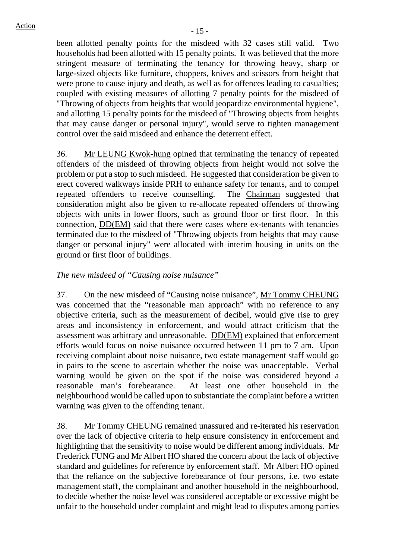been allotted penalty points for the misdeed with 32 cases still valid. Two households had been allotted with 15 penalty points. It was believed that the more stringent measure of terminating the tenancy for throwing heavy, sharp or large-sized objects like furniture, choppers, knives and scissors from height that were prone to cause injury and death, as well as for offences leading to casualties; coupled with existing measures of allotting 7 penalty points for the misdeed of "Throwing of objects from heights that would jeopardize environmental hygiene", and allotting 15 penalty points for the misdeed of "Throwing objects from heights that may cause danger or personal injury", would serve to tighten management control over the said misdeed and enhance the deterrent effect.

36. Mr LEUNG Kwok-hung opined that terminating the tenancy of repeated offenders of the misdeed of throwing objects from height would not solve the problem or put a stop to such misdeed. He suggested that consideration be given to erect covered walkways inside PRH to enhance safety for tenants, and to compel repeated offenders to receive counselling. The Chairman suggested that consideration might also be given to re-allocate repeated offenders of throwing objects with units in lower floors, such as ground floor or first floor. In this connection, DD(EM) said that there were cases where ex-tenants with tenancies terminated due to the misdeed of "Throwing objects from heights that may cause danger or personal injury" were allocated with interim housing in units on the ground or first floor of buildings.

## *The new misdeed of "Causing noise nuisance"*

37. On the new misdeed of "Causing noise nuisance", Mr Tommy CHEUNG was concerned that the "reasonable man approach" with no reference to any objective criteria, such as the measurement of decibel, would give rise to grey areas and inconsistency in enforcement, and would attract criticism that the assessment was arbitrary and unreasonable. DD(EM) explained that enforcement efforts would focus on noise nuisance occurred between 11 pm to 7 am. Upon receiving complaint about noise nuisance, two estate management staff would go in pairs to the scene to ascertain whether the noise was unacceptable. Verbal warning would be given on the spot if the noise was considered beyond a reasonable man's forebearance. At least one other household in the neighbourhood would be called upon to substantiate the complaint before a written warning was given to the offending tenant.

38. Mr Tommy CHEUNG remained unassured and re-iterated his reservation over the lack of objective criteria to help ensure consistency in enforcement and highlighting that the sensitivity to noise would be different among individuals. Mr Frederick FUNG and Mr Albert HO shared the concern about the lack of objective standard and guidelines for reference by enforcement staff. Mr Albert HO opined that the reliance on the subjective forebearance of four persons, i.e. two estate management staff, the complainant and another household in the neighbourhood, to decide whether the noise level was considered acceptable or excessive might be unfair to the household under complaint and might lead to disputes among parties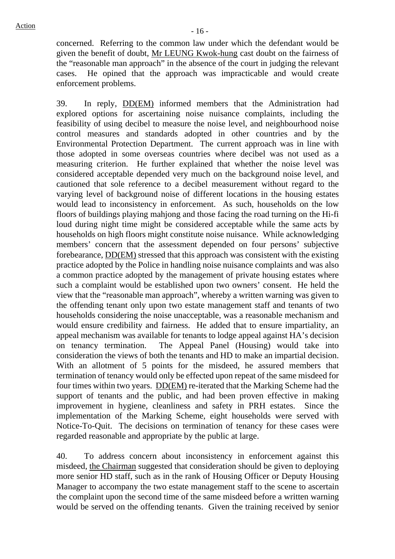concerned. Referring to the common law under which the defendant would be given the benefit of doubt, Mr LEUNG Kwok-hung cast doubt on the fairness of the "reasonable man approach" in the absence of the court in judging the relevant cases. He opined that the approach was impracticable and would create enforcement problems.

39. In reply, DD(EM) informed members that the Administration had explored options for ascertaining noise nuisance complaints, including the feasibility of using decibel to measure the noise level, and neighbourhood noise control measures and standards adopted in other countries and by the Environmental Protection Department. The current approach was in line with those adopted in some overseas countries where decibel was not used as a measuring criterion. He further explained that whether the noise level was considered acceptable depended very much on the background noise level, and cautioned that sole reference to a decibel measurement without regard to the varying level of background noise of different locations in the housing estates would lead to inconsistency in enforcement. As such, households on the low floors of buildings playing mahjong and those facing the road turning on the Hi-fi loud during night time might be considered acceptable while the same acts by households on high floors might constitute noise nuisance. While acknowledging members' concern that the assessment depended on four persons' subjective forebearance, DD(EM) stressed that this approach was consistent with the existing practice adopted by the Police in handling noise nuisance complaints and was also a common practice adopted by the management of private housing estates where such a complaint would be established upon two owners' consent. He held the view that the "reasonable man approach", whereby a written warning was given to the offending tenant only upon two estate management staff and tenants of two households considering the noise unacceptable, was a reasonable mechanism and would ensure credibility and fairness. He added that to ensure impartiality, an appeal mechanism was available for tenants to lodge appeal against HA's decision on tenancy termination. The Appeal Panel (Housing) would take into consideration the views of both the tenants and HD to make an impartial decision. With an allotment of 5 points for the misdeed, he assured members that termination of tenancy would only be effected upon repeat of the same misdeed for four times within two years. DD(EM) re-iterated that the Marking Scheme had the support of tenants and the public, and had been proven effective in making improvement in hygiene, cleanliness and safety in PRH estates. Since the implementation of the Marking Scheme, eight households were served with Notice-To-Quit. The decisions on termination of tenancy for these cases were regarded reasonable and appropriate by the public at large.

40. To address concern about inconsistency in enforcement against this misdeed, the Chairman suggested that consideration should be given to deploying more senior HD staff, such as in the rank of Housing Officer or Deputy Housing Manager to accompany the two estate management staff to the scene to ascertain the complaint upon the second time of the same misdeed before a written warning would be served on the offending tenants. Given the training received by senior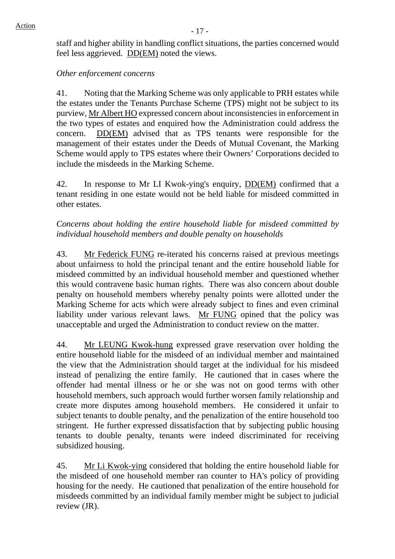staff and higher ability in handling conflict situations, the parties concerned would feel less aggrieved. DD(EM) noted the views.

## *Other enforcement concerns*

41. Noting that the Marking Scheme was only applicable to PRH estates while the estates under the Tenants Purchase Scheme (TPS) might not be subject to its purview, Mr Albert HO expressed concern about inconsistencies in enforcement in the two types of estates and enquired how the Administration could address the concern. DD(EM) advised that as TPS tenants were responsible for the management of their estates under the Deeds of Mutual Covenant, the Marking Scheme would apply to TPS estates where their Owners' Corporations decided to include the misdeeds in the Marking Scheme.

42. In response to Mr LI Kwok-ying's enquiry, DD(EM) confirmed that a tenant residing in one estate would not be held liable for misdeed committed in other estates.

*Concerns about holding the entire household liable for misdeed committed by individual household members and double penalty on households* 

43. Mr Federick FUNG re-iterated his concerns raised at previous meetings about unfairness to hold the principal tenant and the entire household liable for misdeed committed by an individual household member and questioned whether this would contravene basic human rights. There was also concern about double penalty on household members whereby penalty points were allotted under the Marking Scheme for acts which were already subject to fines and even criminal liability under various relevant laws. Mr FUNG opined that the policy was unacceptable and urged the Administration to conduct review on the matter.

44. Mr LEUNG Kwok-hung expressed grave reservation over holding the entire household liable for the misdeed of an individual member and maintained the view that the Administration should target at the individual for his misdeed instead of penalizing the entire family. He cautioned that in cases where the offender had mental illness or he or she was not on good terms with other household members, such approach would further worsen family relationship and create more disputes among household members. He considered it unfair to subject tenants to double penalty, and the penalization of the entire household too stringent. He further expressed dissatisfaction that by subjecting public housing tenants to double penalty, tenants were indeed discriminated for receiving subsidized housing.

45. Mr Li Kwok-ying considered that holding the entire household liable for the misdeed of one household member ran counter to HA's policy of providing housing for the needy. He cautioned that penalization of the entire household for misdeeds committed by an individual family member might be subject to judicial review (JR).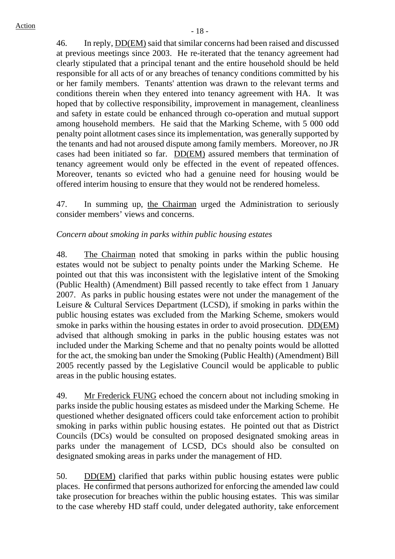46. In reply, DD(EM) said that similar concerns had been raised and discussed at previous meetings since 2003. He re-iterated that the tenancy agreement had clearly stipulated that a principal tenant and the entire household should be held responsible for all acts of or any breaches of tenancy conditions committed by his or her family members. Tenants' attention was drawn to the relevant terms and conditions therein when they entered into tenancy agreement with HA. It was hoped that by collective responsibility, improvement in management, cleanliness and safety in estate could be enhanced through co-operation and mutual support among household members. He said that the Marking Scheme, with 5 000 odd penalty point allotment cases since its implementation, was generally supported by the tenants and had not aroused dispute among family members. Moreover, no JR cases had been initiated so far. DD(EM) assured members that termination of tenancy agreement would only be effected in the event of repeated offences. Moreover, tenants so evicted who had a genuine need for housing would be offered interim housing to ensure that they would not be rendered homeless.

47. In summing up, the Chairman urged the Administration to seriously consider members' views and concerns.

## *Concern about smoking in parks within public housing estates*

48. The Chairman noted that smoking in parks within the public housing estates would not be subject to penalty points under the Marking Scheme. He pointed out that this was inconsistent with the legislative intent of the Smoking (Public Health) (Amendment) Bill passed recently to take effect from 1 January 2007. As parks in public housing estates were not under the management of the Leisure & Cultural Services Department (LCSD), if smoking in parks within the public housing estates was excluded from the Marking Scheme, smokers would smoke in parks within the housing estates in order to avoid prosecution. DD(EM) advised that although smoking in parks in the public housing estates was not included under the Marking Scheme and that no penalty points would be allotted for the act, the smoking ban under the Smoking (Public Health) (Amendment) Bill 2005 recently passed by the Legislative Council would be applicable to public areas in the public housing estates.

49. Mr Frederick FUNG echoed the concern about not including smoking in parks inside the public housing estates as misdeed under the Marking Scheme. He questioned whether designated officers could take enforcement action to prohibit smoking in parks within public housing estates. He pointed out that as District Councils (DCs) would be consulted on proposed designated smoking areas in parks under the management of LCSD, DCs should also be consulted on designated smoking areas in parks under the management of HD.

50. DD(EM) clarified that parks within public housing estates were public places. He confirmed that persons authorized for enforcing the amended law could take prosecution for breaches within the public housing estates. This was similar to the case whereby HD staff could, under delegated authority, take enforcement